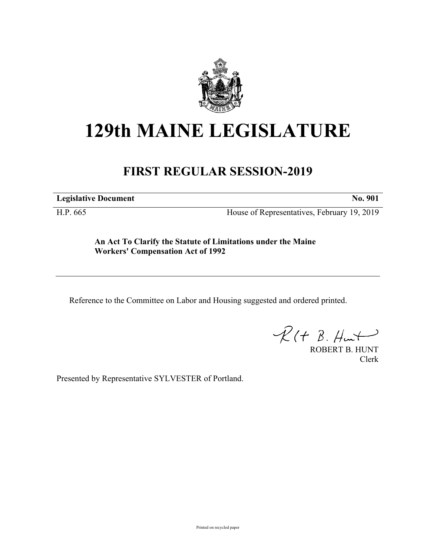

## **129th MAINE LEGISLATURE**

## **FIRST REGULAR SESSION-2019**

**Legislative Document No. 901**

H.P. 665 House of Representatives, February 19, 2019

**An Act To Clarify the Statute of Limitations under the Maine Workers' Compensation Act of 1992**

Reference to the Committee on Labor and Housing suggested and ordered printed.

 $R(H B. Hmt)$ 

ROBERT B. HUNT Clerk

Presented by Representative SYLVESTER of Portland.